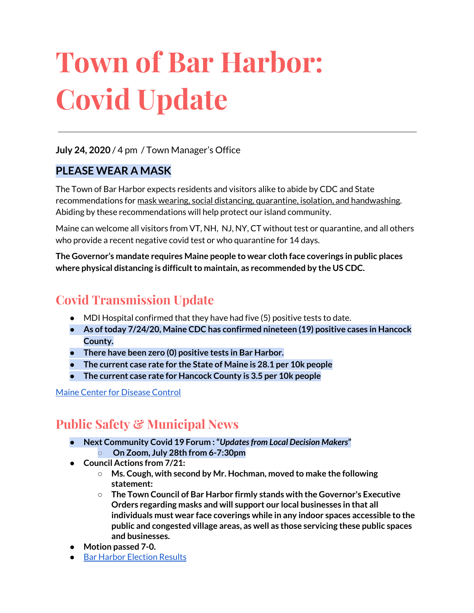# **Town of Bar Harbor: Covid Update**

#### **July 24, 2020** / 4 pm / Town Manager's Office

#### **PLEASE WEAR A MASK**

The Town of Bar Harbor expects residents and visitors alike to abide by CDC and State recommendations for mask wearing, social distancing, quarantine, isolation, and handwashing. Abiding by these recommendations will help protect our island community.

Maine can welcome all visitors from VT, NH, NJ, NY, CT without test or quarantine, and all others who provide a recent negative covid test or who quarantine for 14 days.

**The Governor's mandate requires Maine people to wear cloth face coverings in public places where physical distancing is difficultto maintain, as recommended by the US CDC.**

# **Covid Transmission Update**

- $\bullet$  MDI Hospital confirmed that they have had five (5) positive tests to date.
- **● As oftoday 7/24/20, Maine CDC has confirmed nineteen (19) positive cases in Hancock County.**
- **● There have been zero (0) positive tests in Bar Harbor.**
- **● The current case rate for the State of Maine is 28.1 per 10k people**
- **● The current case rate for Hancock County is 3.5 per 10k people**

#### Maine Center for [Disease](https://www.maine.gov/dhhs/mecdc/infectious-disease/epi/airborne/coronavirus.shtml) Control

## **Public Safety & Municipal News**

- **● Next Community Covid 19 Forum :"***Updatesfrom Local Decision Makers***"**
	- **○ On Zoom, July 28th from 6-7:30pm**
- **● Council Actions from 7/21:**
	- **○ Ms. Cough, with second by Mr. Hochman, moved to make the following statement:**
	- **○ The Town Council of Bar Harbor firmly stands with the Governor's Executive Orders regarding masks and will support our local businesses in that all individuals must wear face coverings while in any indoor spaces accessible to the public and congested village areas, as well as those servicing these public spaces and businesses.**
- **Motion passed 7-0.**
- Bar Harbor [Election](http://www.barharbormaine.gov/CivicAlerts.aspx?AID=703) Results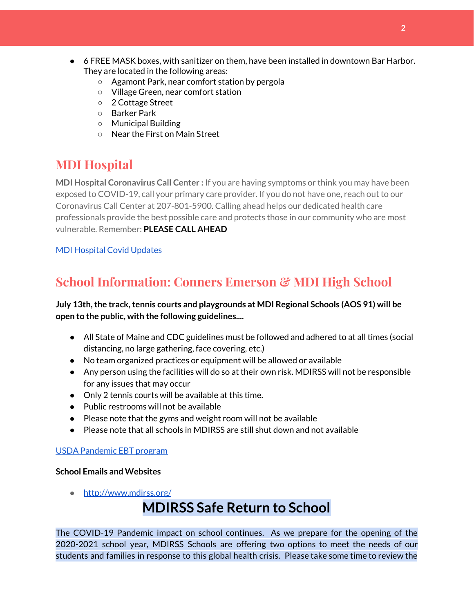- 6 FREE MASK boxes, with sanitizer on them, have been installed in downtown Bar Harbor. They are located in the following areas:
	- Agamont Park, near comfort station by pergola
	- Village Green, near comfort station
	- 2 Cottage Street
	- Barker Park
	- Municipal Building
	- Near the First on Main Street

# **MDI Hospital**

**MDI Hospital Coronavirus Call Center :** If you are having symptoms or think you may have been exposed to COVID-19, call your primary care provider. If you do not have one, reach out to our Coronavirus Call Center at 207-801-5900. Calling ahead helps our dedicated health care professionals provide the best possible care and protects those in our community who are most vulnerable. Remember: **PLEASE CALL AHEAD**

#### MDI [Hospital](https://www.mdihospital.org/covid-19/?fbclid=IwAR2Q31t4a6H1pxDfUeqSzFcmp5UbRlSwe93i58zEkHstfexp5EgoHB5cxGU) Covid Updates

# **School Information: Conners Emerson & MDI High School**

#### **July 13th,the track,tennis courts and playgrounds at MDI Regional Schools (AOS 91) will be open to the public, with the following guidelines....**

- All State of Maine and CDC guidelines must be followed and adhered to at all times (social distancing, no large gathering, face covering, etc.)
- No team organized practices or equipment will be allowed or available
- Any person using the facilities will do so at their own risk. MDIRSS will not be responsible for any issues that may occur
- Only 2 tennis courts will be available at this time.
- Public restrooms will not be available
- Please note that the gyms and weight room will not be available
- Please note that all schools in MDIRSS are still shut down and not available

#### USDA [Pandemic](http://track.spe.schoolmessenger.com/f/a/j6GQx4nFl3Rld4Q68tYCuA~~/AAAAAQA~/RgRgu5_JP0SlaHR0cHM6Ly9tYWlsLmdvb2dsZS5jb20vbWFpbC91LzAvP3RhYj1jbSNzZWFyY2gvZnJvbSUzQStiZWVzbGV5L1doY3RLSlZyQ0NUS1JmUldCTFdkUVpGZ2pUVlhNdkRwUVpIa2NoRkJCc3NGcHJxZEtnWFF3S05Tamt3R1RxTFpaS21wTkRHP3Byb2plY3Rvcj0xJm1lc3NhZ2VQYXJ0SWQ9MC4xVwdzY2hvb2xtQgoARkls2l72Ls-jUhhiYXJoYXJib3JqZXdlbEBnbWFpbC5jb21YBAAAAAE~) EBT program

#### **School Emails and Websites**

• <http://www.mdirss.org/>

# **MDIRSS Safe Return to School**

The COVID-19 Pandemic impact on school continues. As we prepare for the opening of the 2020-2021 school year, MDIRSS Schools are offering two options to meet the needs of our students and families in response to this global health crisis. Please take some time to review the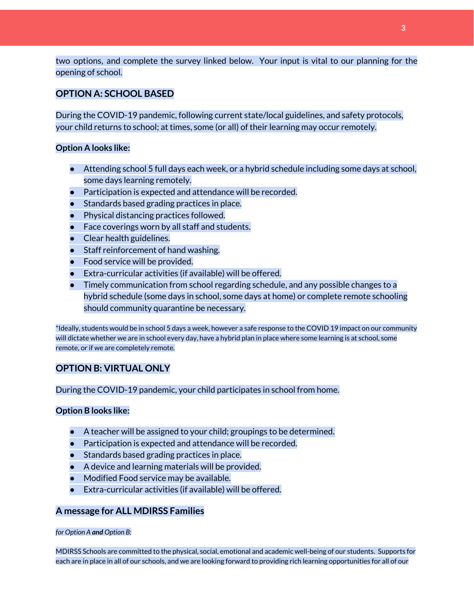two options, and complete the survey linked below. Your input is vital to our planning for the opening of school.

#### **OPTION A: SCHOOL BASED**

During the COVID-19 pandemic, following current state/local guidelines, and safety protocols, your child returns to school; at times, some (or all) of their learning may occur remotely.

#### **Option A looks like:**

- Attending school 5 full days each week, or a hybrid schedule including some days at school, some days learning remotely.
- Participation is expected and attendance will be recorded.
- Standards based grading practices in place.
- Physical distancing practices followed.
- Face coverings worn by all staff and students.
- Clear health guidelines.
- Staff reinforcement of hand washing.
- Food service will be provided.
- Extra-curricular activities (if available) will be offered.
- Timely communication from school regarding schedule, and any possible changes to a hybrid schedule (some days in school, some days at home) or complete remote schooling should community quarantine be necessary.

\*Ideally, students would be in school 5 days a week, however a safe response to the COVID 19 impact on our community will dictate whether we are in school every day, have a hybrid plan in place where some learning is at school, some remote, or if we are completely remote.

#### **OPTION B: VIRTUAL ONLY**

During the COVID-19 pandemic, your child participates in school from home.

#### **Option B looks like:**

- A teacher will be assigned to your child; groupings to be determined.
- Participation is expected and attendance will be recorded.
- Standards based grading practices in place.
- A device and learning materials will be provided.
- Modified Food service may be available.
- Extra-curricular activities (if available) will be offered.

#### **A message for ALL MDIRSS Families**

#### *for Option A and Option B:*

MDIRSS Schools are committed to the physical, social, emotional and academic well-being of our students. Supports for each are in place in all of our schools, and we are looking forward to providing rich learning opportunities for all of our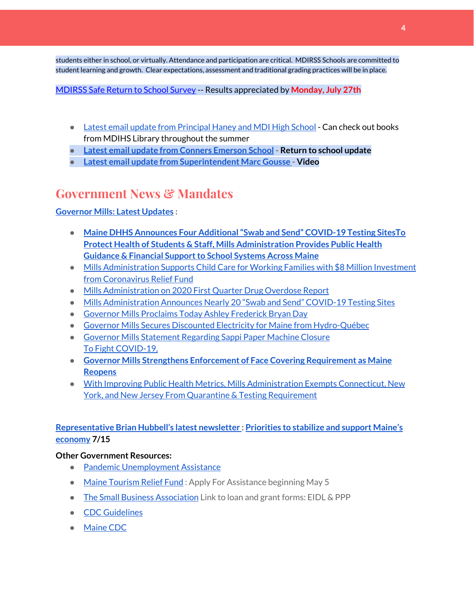students either in school, or virtually. Attendance and participation are critical. MDIRSS Schools are committed to student learning and growth. Clear expectations, assessment and traditional grading practices will be in place.

#### [MDIRSS](http://track.spe.schoolmessenger.com/f/a/kiM2Y100d4Wq3XM3SFxoJQ~~/AAAAAQA~/RgRg-udtP0RjaHR0cHM6Ly9kb2NzLmdvb2dsZS5jb20vZm9ybXMvZC9lLzFGQUlwUUxTZDE3UzdfZEhOVGtxMWI3WV8zMndXY3lid1VkRnVvYWhGcmtSQTBRbUlsNERQWnp3L3ZpZXdmb3JtVwdzY2hvb2xtQgoAR-2zGV8FI9NbUhhiYXJoYXJib3JqZXdlbEBnbWFpbC5jb21YBAAAAAE~) Safe Return to School Survey -- Results appreciated by **Monday, July 27th**

- Latest email update from [Principal](https://docs.google.com/document/d/1OKDsYNtOgV0FI9xAcXwQvenOKLV0S2vBg1o5jtu5CrE/edit?usp=sharing) Haney and MDI High School Can check out books from MDIHS Library throughout the summer
- **● Latest email update from Conners [Emerson](https://docs.google.com/document/d/1v3pgkG6Q-9S3gisuUIj4etPVDwgBKl4P00JBkvZr-kk/edit?usp=sharing) School - Return to school update**
- **● Latest email update from [Superintendent](https://docs.google.com/document/d/1fzeCbc8gpTSKmUaDoQH1Avx5PVl-h0reFphXrT1eUNA/edit?usp=sharing) Marc Gousse - Video**

## **Government News & Mandates**

#### **[Governor](https://www.maine.gov/governor/mills/) Mills: Latest Updates :**

- **● Maine DHHS Announces Four [Additional"Swab](https://www.maine.gov/governor/mills/news/maine-dhhs-announces-four-additional-swab-and-send-covid-19-testing-sites-2020-07-21) and Send" COVID-19 Testing Sites[To](https://www.maine.gov/governor/mills/news/protect-health-students-staff-mills-administration-provides-public-health-guidance-financial) Protect Health of Students & Staff, Mills [Administration](https://www.maine.gov/governor/mills/news/protect-health-students-staff-mills-administration-provides-public-health-guidance-financial) Provides Public Health Guidance & Financial Support to School Systems Across Maine**
- Mills [Administration](https://www.maine.gov/governor/mills/news/mills-administration-supports-child-care-working-families-8-million-investment-coronavirus) Supports Child Care for Working Families with \$8 Million Investment from [Coronavirus](https://www.maine.gov/governor/mills/news/mills-administration-supports-child-care-working-families-8-million-investment-coronavirus) Relief Fund
- Mills [Administration](https://www.maine.gov/governor/mills/news/mills-administration-2020-first-quarter-drug-overdose-report-2020-07-17) on 2020 First Quarter Drug Overdose Report
- Mills [Administration](https://www.maine.gov/governor/mills/news/mills-administration-announces-nearly-20-swab-and-send-covid-19-testing-sites-2020-07-14) Announces Nearly 20 "Swab and Send" COVID-19 Testing Sites
- Governor Mills [Proclaims](https://www.maine.gov/governor/mills/news/governor-mills-proclaims-today-ashley-frederick-bryan-day-2020-07-13) Today Ashley Frederick Bryan Day
- Governor Mills Secures Discounted Electricity for Maine from [Hydro-Québec](https://www.maine.gov/governor/mills/news/governor-mills-secures-discounted-electricity-maine-hydro-quebec-2020-07-10)
- Governor Mills [Statement](https://www.maine.gov/governor/mills/news/governor-mills-statement-regarding-sappi-paper-machine-closure-2020-07-09) Regarding Sappi Paper Machine Closure To Fight [COVID-19,](https://www.maine.gov/governor/mills/news/fight-covid-19-governor-mills-strengthens-enforcement-face-covering-requirement-maine-reopens)
- **● Governor Mills Strengthens Enforcement of Face Covering [Requirement](https://www.maine.gov/governor/mills/news/fight-covid-19-governor-mills-strengthens-enforcement-face-covering-requirement-maine-reopens) as Maine [Reopens](https://www.maine.gov/governor/mills/news/fight-covid-19-governor-mills-strengthens-enforcement-face-covering-requirement-maine-reopens)**
- With Improving Public Health Metrics, Mills [Administration](https://www.maine.gov/governor/mills/news/improving-public-health-metrics-mills-administration-exempts-connecticut-new-york-and-new) Exempts Connecticut, New York, and New Jersey From Quarantine & Testing [Requirement](https://www.maine.gov/governor/mills/news/improving-public-health-metrics-mills-administration-exempts-connecticut-new-york-and-new)

#### **[Representative](http://www.rephubbell.com/) Brian Hubbell's latest newsletter : [Priorities](http://www.rephubbell.com/2020/07/15/priorities-to-stabilize-and-support-maines-economy/) to stabilize and support Maine's [economy](http://www.rephubbell.com/2020/07/15/priorities-to-stabilize-and-support-maines-economy/) 7/15**

#### **Other Government Resources:**

- Pandemic [Unemployment](https://www.maine.gov/unemployment/pua/) Assistance
- Maine [Tourism](https://www.mainetourism.com/maine-tourism-relief-fund/) Relief Fund: Apply For Assistance beginning May 5
- The Small Business [Association](https://www.sba.gov/) Link to loan and grant forms: EIDL & PPP
- CDC [Guidelines](https://www.cdc.gov/coronavirus/2019-nCoV/index.html)
- [Maine](https://www.maine.gov/dhhs/mecdc/infectious-disease/epi/airborne/coronavirus.shtml#news) CDC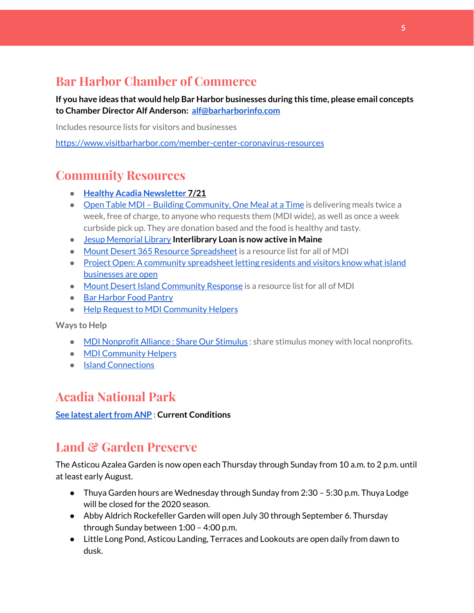# **Bar Harbor Chamber of Commerce**

**If you have ideas that would help Bar Harbor businesses during this time, please email concepts to Chamber Director Alf Anderson: [alf@barharborinfo.com](mailto:alf@barharborinfo.com)**

Includes resource lists for visitors and businesses

<https://www.visitbarharbor.com/member-center-coronavirus-resources>

## **Community Resources**

- **● Healthy Acadia [Newsletter](https://mailchi.mp/healthyacadia.org/july_21_2020) [7](https://mailchi.mp/healthyacadia.org/july_21_2020)/21**
- Open Table MDI Building [Community,](https://www.opentablemdi.org/) One Meal at a Time is delivering meals twice a week, free of charge, to anyone who requests them (MDI wide), as well as once a week curbside pick up. They are donation based and the food is healthy and tasty.
- Jesup [Memorial](https://jesuplibrary.org/) Library **Interlibrary Loan is now active in Maine**
- Mount Desert 365 Resource [Spreadsheet](https://docs.google.com/spreadsheets/d/1okAx6HSsgXZY9CGH07Dzi6rqe7a6m4dLCPKot2Li7Ek/edit?usp=sharing) is a resource list for all of MDI
- Project Open: A community [spreadsheet](https://docs.google.com/spreadsheets/d/1dBicBiBXGzzWEFd9oqL7EBDbFWjDCPl6SSMea_Kt4pc/htmlview#) letting residents and visitors know what island [businesses](https://docs.google.com/spreadsheets/d/1dBicBiBXGzzWEFd9oqL7EBDbFWjDCPl6SSMea_Kt4pc/htmlview#) are open
- Mount Desert Island [Community](https://www.mdicr.org/) Response is a resource list for all of MDI
- Bar [Harbor](https://www.barharborfoodpantry.org/) Food Pantry
- Help Request to MDI [Community](https://docs.google.com/forms/d/e/1FAIpQLSeZfu0tCcthHc9oL7tPomVRdniYiE7nbT_kkK9iCSRgqDhOvQ/viewform) Helpers

**Ways to Help**

- MDI [Nonprofit](https://sites.google.com/mdina.org/public/sos-mdi?authuser=0) Alliance : Share Our Stimulus : share stimulus money with local nonprofits.
- MDI [Community](https://docs.google.com/forms/d/e/1FAIpQLSe_CJUFdVvwJkmymWRqUeK8bx3m7n4uSOuUPYHqXSAyH2DBoQ/viewform?fbclid=IwAR25hjnWGhnMP0lOWMcBPRBumhtQCJGZO4hlk-T-VjNGZljL1kVX5pWrL6U) Helpers
- Island [Connections](http://islconnections.org/contact-us/)

## **Acadia National Park**

**See latest alert from ANP : Current Conditions** 

## **Land & Garden Preserve**

The Asticou Azalea Garden is now open each Thursday through Sunday from 10 a.m. to 2 p.m. until at least early August.

- Thuya Garden hours are Wednesday through Sunday from 2:30 5:30 p.m. Thuya Lodge will be closed for the 2020 season.
- Abby Aldrich Rockefeller Garden will open July 30 through September 6. Thursday through Sunday between 1:00 – 4:00 p.m.
- Little Long Pond, Asticou Landing, Terraces and Lookouts are open daily from dawn to dusk.